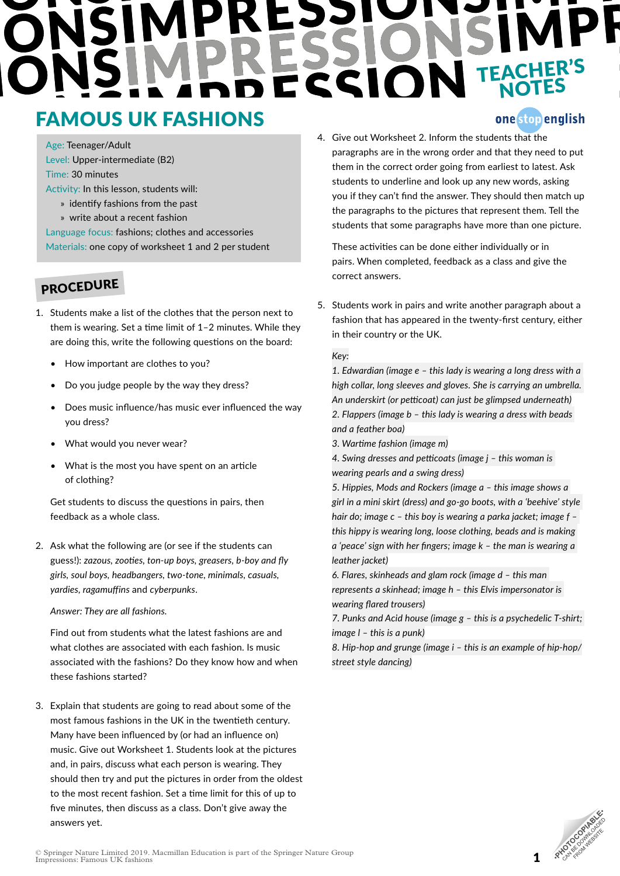# **TEACHER'S**

# FAMOUS UK FASHIONS

Age: Teenager/Adult

Level: Upper-intermediate (B2)

Time: 30 minutes

Activity: In this lesson, students will:

- » identify fashions from the past
- » write about a recent fashion

Language focus: fashions; clothes and accessories Materials: one copy of worksheet 1 and 2 per student

## PROCEDURE

- 1. Students make a list of the clothes that the person next to them is wearing. Set a time limit of 1–2 minutes. While they are doing this, write the following questions on the board:
	- How important are clothes to you?
	- Do you judge people by the way they dress?
	- Does music influence/has music ever influenced the way you dress?
	- What would you never wear?
	- What is the most you have spent on an article of clothing?

Get students to discuss the questions in pairs, then feedback as a whole class.

2. Ask what the following are (or see if the students can guess!): *zazous, zooties, ton-up boys, greasers, b-boy and fly girls, soul boys, headbangers, two-tone, minimals, casuals, yardies, ragamuffins* and *cyberpunks*.

*Answer: They are all fashions.*

Find out from students what the latest fashions are and what clothes are associated with each fashion. Is music associated with the fashions? Do they know how and when these fashions started?

3. Explain that students are going to read about some of the most famous fashions in the UK in the twentieth century. Many have been influenced by (or had an influence on) music. Give out Worksheet 1. Students look at the pictures and, in pairs, discuss what each person is wearing. They should then try and put the pictures in order from the oldest to the most recent fashion. Set a time limit for this of up to five minutes, then discuss as a class. Don't give away the answers yet.

## one stop english

4. Give out Worksheet 2. Inform the students that the paragraphs are in the wrong order and that they need to put them in the correct order going from earliest to latest. Ask students to underline and look up any new words, asking you if they can't find the answer. They should then match up the paragraphs to the pictures that represent them. Tell the students that some paragraphs have more than one picture.

These activities can be done either individually or in pairs. When completed, feedback as a class and give the correct answers.

5. Students work in pairs and write another paragraph about a fashion that has appeared in the twenty-first century, either in their country or the UK.

#### *Key:*

*1. Edwardian (image e – this lady is wearing a long dress with a high collar, long sleeves and gloves. She is carrying an umbrella. An underskirt (or petticoat) can just be glimpsed underneath) 2. Flappers (image b – this lady is wearing a dress with beads and a feather boa)*

*3. Wartime fashion (image m)*

*4. Swing dresses and petticoats (image j – this woman is wearing pearls and a swing dress)*

*5. Hippies, Mods and Rockers (image a – this image shows a girl in a mini skirt (dress) and go-go boots, with a 'beehive' style hair do; image c – this boy is wearing a parka jacket; image f – this hippy is wearing long, loose clothing, beads and is making a 'peace' sign with her fingers; image k – the man is wearing a leather jacket)*

*6. Flares, skinheads and glam rock (image d – this man represents a skinhead; image h – this Elvis impersonator is wearing flared trousers)*

*7. Punks and Acid house (image g – this is a psychedelic T-shirt; image l – this is a punk)*

*8. Hip-hop and grunge (image i – this is an example of hip-hop/ street style dancing)*

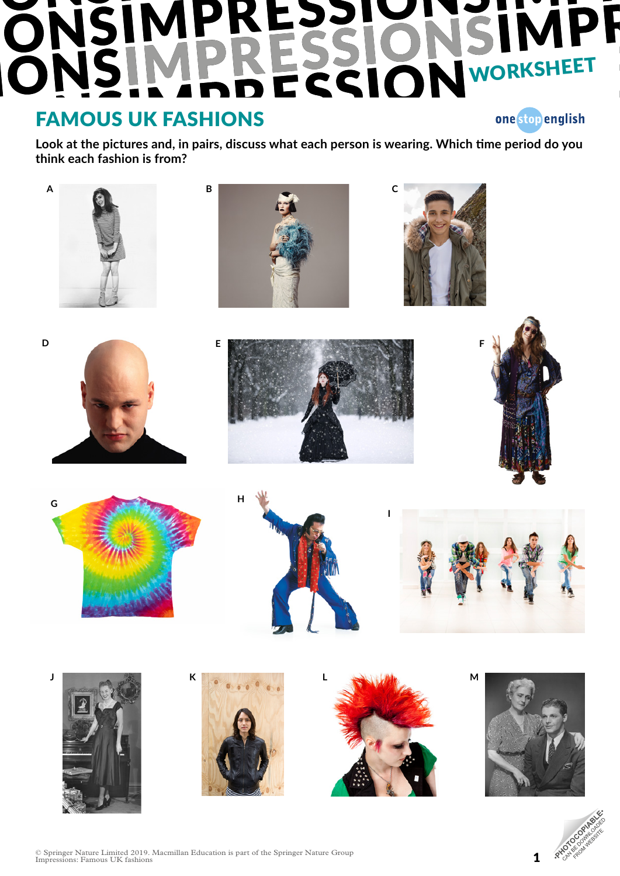#### **PF** ÖN<br>ON IM IV SI RES WORKSHEET iOI  $\overline{\mathsf{C}}$ **P**  $\mathbf{C}^+$ FAMOUS UK FASHIONS onestopenglish

### **Look at the pictures and, in pairs, discuss what each person is wearing. Which time period do you think each fashion is from?**





© Springer Nature Limited 2019. Macmillan Education is part of the Springer Nature Group Impressions: Famous UK fashions 1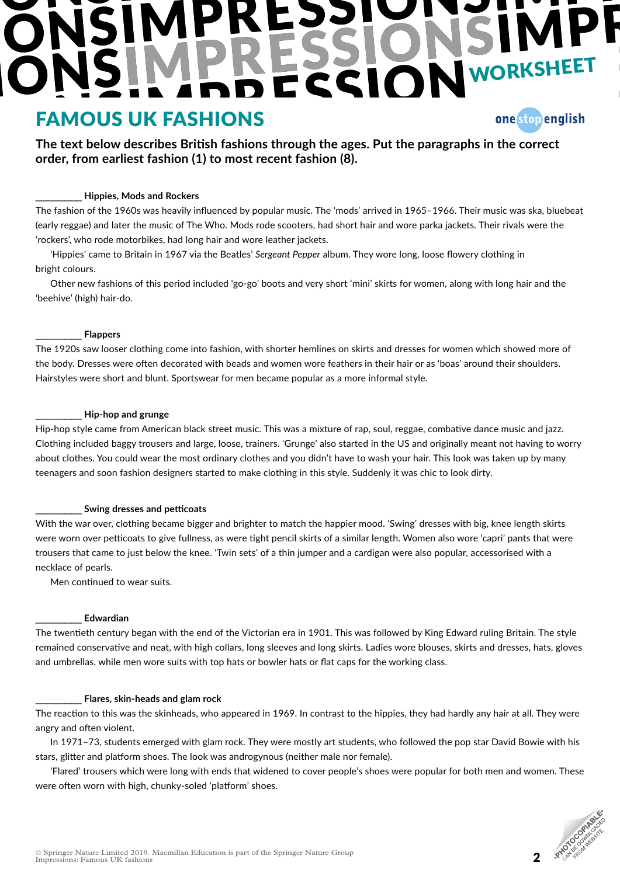# WORKSHEETFAMOUS UK FASHIONS one stop english

**The text below describes British fashions through the ages. Put the paragraphs in the correct order, from earliest fashion (1) to most recent fashion (8).**

#### \_\_\_\_\_\_\_\_ **Hippies, Mods and Rockers**

The fashion of the 1960s was heavily influenced by popular music. The 'mods' arrived in 1965–1966. Their music was ska, bluebeat (early reggae) and later the music of The Who. Mods rode scooters, had short hair and wore parka jackets. Their rivals were the 'rockers', who rode motorbikes, had long hair and wore leather jackets.

'Hippies' came to Britain in 1967 via the Beatles' *Sergeant Pepper* album. They wore long, loose flowery clothing in bright colours.

Other new fashions of this period included 'go-go' boots and very short 'mini' skirts for women, along with long hair and the 'beehive' (high) hair-do.

#### \_\_\_\_\_\_\_\_ **Flappers**

The 1920s saw looser clothing come into fashion, with shorter hemlines on skirts and dresses for women which showed more of the body. Dresses were often decorated with beads and women wore feathers in their hair or as 'boas' around their shoulders. Hairstyles were short and blunt. Sportswear for men became popular as a more informal style.

#### \_\_\_\_\_\_\_\_ **Hip-hop and grunge**

Hip-hop style came from American black street music. This was a mixture of rap, soul, reggae, combative dance music and jazz. Clothing included baggy trousers and large, loose, trainers. 'Grunge' also started in the US and originally meant not having to worry about clothes. You could wear the most ordinary clothes and you didn't have to wash your hair. This look was taken up by many teenagers and soon fashion designers started to make clothing in this style. Suddenly it was chic to look dirty.

#### \_\_\_\_\_\_\_\_ **Swing dresses and petticoats**

With the war over, clothing became bigger and brighter to match the happier mood. 'Swing' dresses with big, knee length skirts were worn over petticoats to give fullness, as were tight pencil skirts of a similar length. Women also wore 'capri' pants that were trousers that came to just below the knee. 'Twin sets' of a thin jumper and a cardigan were also popular, accessorised with a necklace of pearls.

Men continued to wear suits.

#### \_\_\_\_\_\_\_\_ **Edwardian**

The twentieth century began with the end of the Victorian era in 1901. This was followed by King Edward ruling Britain. The style remained conservative and neat, with high collars, long sleeves and long skirts. Ladies wore blouses, skirts and dresses, hats, gloves and umbrellas, while men wore suits with top hats or bowler hats or flat caps for the working class.

#### \_\_\_\_\_\_\_\_ **Flares, skin-heads and glam rock**

The reaction to this was the skinheads, who appeared in 1969. In contrast to the hippies, they had hardly any hair at all. They were angry and often violent.

In 1971–73, students emerged with glam rock. They were mostly art students, who followed the pop star David Bowie with his stars, glitter and platform shoes. The look was androgynous (neither male nor female).

'Flared' trousers which were long with ends that widened to cover people's shoes were popular for both men and women. These were often worn with high, chunky-soled 'platform' shoes.